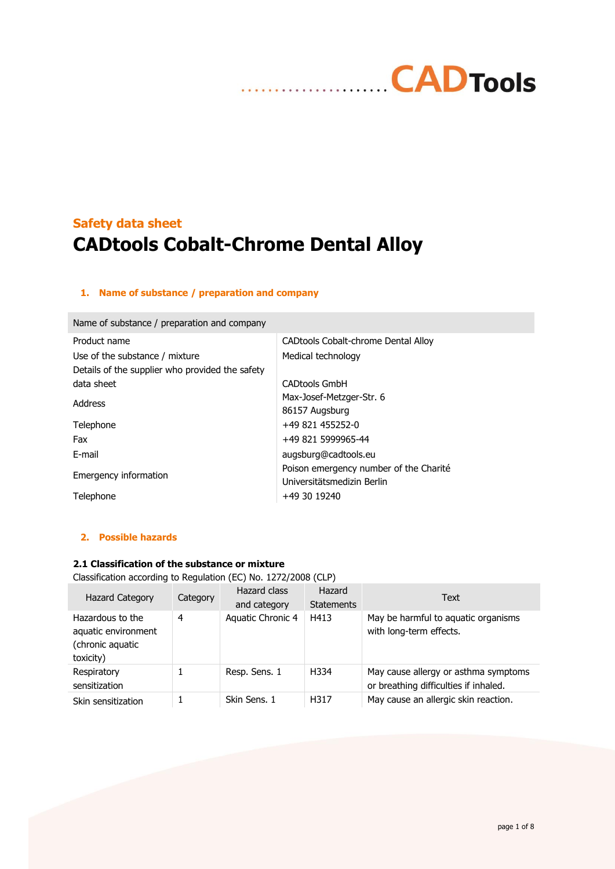# **CADTools** . . . . . . . . **. . . . .** .

# **Safety data sheet CADtools Cobalt-Chrome Dental Alloy**

# **1. Name of substance / preparation and company**

Name of substance / preparation and company

| CAD tools Cobalt-chrome Dental Alloy   |
|----------------------------------------|
| Medical technology                     |
|                                        |
| <b>CADtools GmbH</b>                   |
| Max-Josef-Metzger-Str. 6               |
| 86157 Augsburg                         |
| +49 821 455252-0                       |
| +49 821 5999965-44                     |
| augsburg@cadtools.eu                   |
| Poison emergency number of the Charité |
| Universitätsmedizin Berlin             |
| +49 30 19240                           |
|                                        |

# **2. Possible hazards**

# **2.1 Classification of the substance or mixture**

Classification according to Regulation (EC) No. 1272/2008 (CLP)

| <b>Hazard Category</b>                                                   | Category | Hazard class<br>and category | Hazard<br><b>Statements</b> | <b>Text</b>                                                                   |
|--------------------------------------------------------------------------|----------|------------------------------|-----------------------------|-------------------------------------------------------------------------------|
| Hazardous to the<br>aquatic environment<br>(chronic aquatic<br>toxicity) | 4        | Aquatic Chronic 4            | H413                        | May be harmful to aquatic organisms<br>with long-term effects.                |
| Respiratory<br>sensitization                                             |          | Resp. Sens. 1                | H334                        | May cause allergy or asthma symptoms<br>or breathing difficulties if inhaled. |
| Skin sensitization                                                       |          | Skin Sens. 1                 | H317                        | May cause an allergic skin reaction.                                          |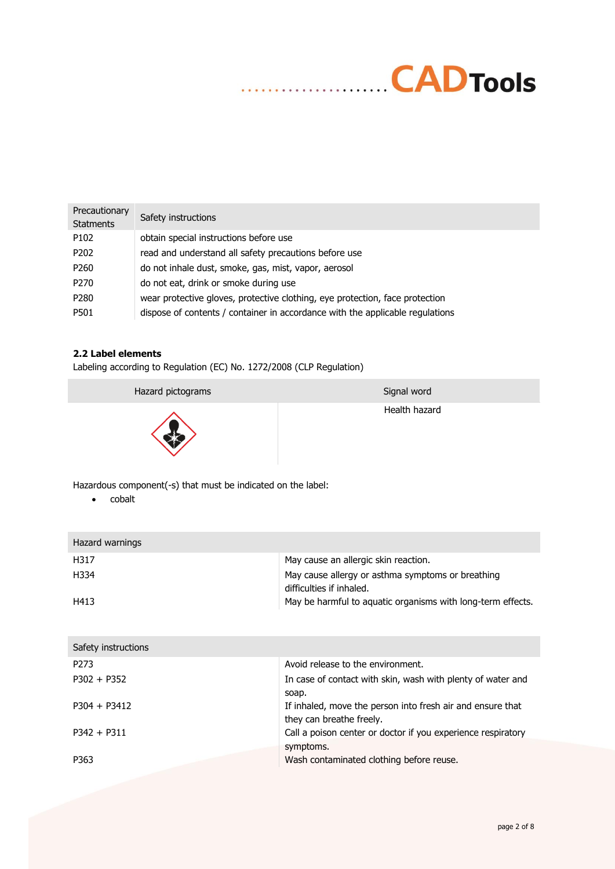# **CAD** Tools

| Precautionary<br><b>Statments</b> | Safety instructions                                                           |
|-----------------------------------|-------------------------------------------------------------------------------|
| P <sub>102</sub>                  | obtain special instructions before use                                        |
| P <sub>202</sub>                  | read and understand all safety precautions before use                         |
| P <sub>260</sub>                  | do not inhale dust, smoke, gas, mist, vapor, aerosol                          |
| P <sub>270</sub>                  | do not eat, drink or smoke during use                                         |
| P <sub>280</sub>                  | wear protective gloves, protective clothing, eye protection, face protection  |
| P501                              | dispose of contents / container in accordance with the applicable regulations |

# **2.2 Label elements**

Labeling according to Regulation (EC) No. 1272/2008 (CLP Regulation)

Hazard pictograms Signal word Signal word



Health hazard

Hazardous component(-s) that must be indicated on the label:

• cobalt

| Hazard warnings |                                                                               |
|-----------------|-------------------------------------------------------------------------------|
| H317            | May cause an allergic skin reaction.                                          |
| H334            | May cause allergy or asthma symptoms or breathing<br>difficulties if inhaled. |
| H413            | May be harmful to aquatic organisms with long-term effects.                   |

| Avoid release to the environment.                            |
|--------------------------------------------------------------|
| In case of contact with skin, wash with plenty of water and  |
| soap.                                                        |
| If inhaled, move the person into fresh air and ensure that   |
| they can breathe freely.                                     |
| Call a poison center or doctor if you experience respiratory |
| symptoms.                                                    |
| Wash contaminated clothing before reuse.                     |
|                                                              |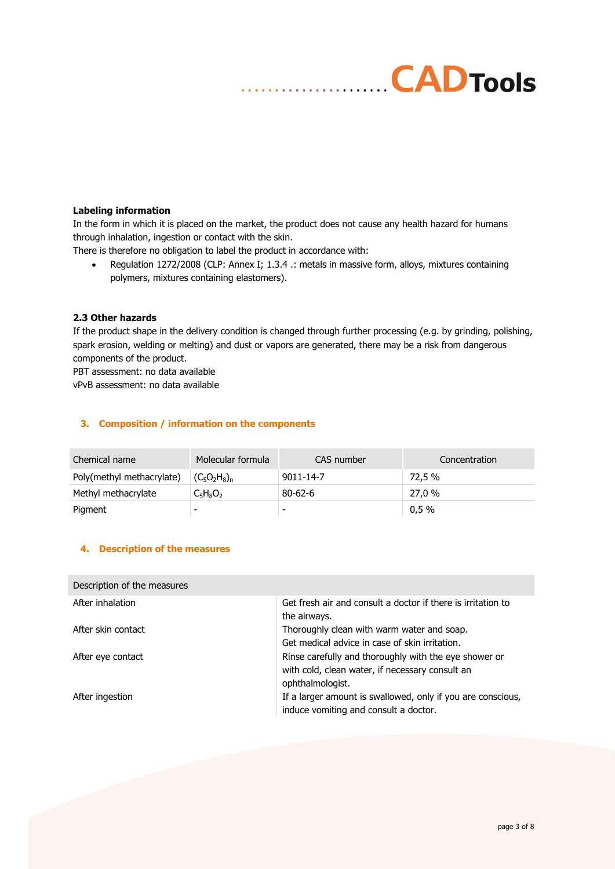# **Labeling information**

In the form in which it is placed on the market, the product does not cause any health hazard for humans through inhalation, ingestion or contact with the skin.

There is therefore no obligation to label the product in accordance with:

• Regulation 1272/2008 (CLP: Annex I; 1.3.4 .: metals in massive form, alloys, mixtures containing polymers, mixtures containing elastomers).

**CADTools** 

# **2.3 Other hazards**

If the product shape in the delivery condition is changed through further processing (e.g. by grinding, polishing, spark erosion, welding or melting) and dust or vapors are generated, there may be a risk from dangerous components of the product.

PBT assessment: no data available vPvB assessment: no data available

# **3. Composition / information on the components**

| Chemical name             | Molecular formula | CAS number      | Concentration |
|---------------------------|-------------------|-----------------|---------------|
| Poly(methyl methacrylate) | $(C_5O_2H_8)_n$   | $9011 - 14 - 7$ | 72.5 %        |
| Methyl methacrylate       | $C_5H_8O_2$       | $80 - 62 - 6$   | 27.0 %        |
| Pigment                   |                   | -               | 0,5%          |

# **4. Description of the measures**

| Description of the measures |                                                              |
|-----------------------------|--------------------------------------------------------------|
| After inhalation            | Get fresh air and consult a doctor if there is irritation to |
|                             | the airways.                                                 |
| After skin contact          | Thoroughly clean with warm water and soap.                   |
|                             | Get medical advice in case of skin irritation.               |
| After eye contact           | Rinse carefully and thoroughly with the eye shower or        |
|                             | with cold, clean water, if necessary consult an              |
|                             | ophthalmologist.                                             |
| After ingestion             | If a larger amount is swallowed, only if you are conscious,  |
|                             | induce vomiting and consult a doctor.                        |
|                             |                                                              |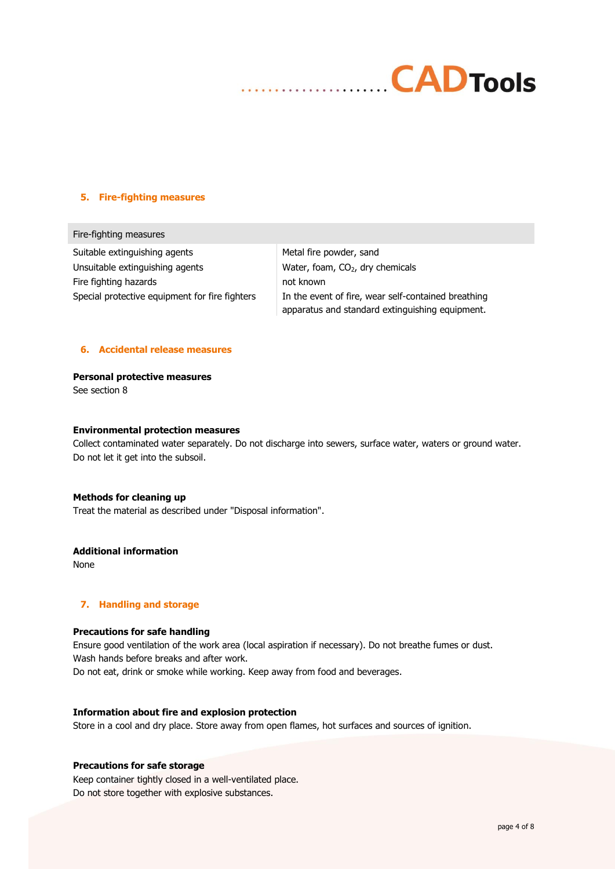

#### **5. Fire-fighting measures**

Fire-fighting measures Suitable extinguishing agents Metal fire powder, sand Unsuitable extinguishing agents Water, foam,  $CO<sub>2</sub>$ , dry chemicals Fire fighting hazards not known

Special protective equipment for fire fighters In the event of fire, wear self-contained breathing apparatus and standard extinguishing equipment.

#### **6. Accidental release measures**

**Personal protective measures**

See section 8

#### **Environmental protection measures**

Collect contaminated water separately. Do not discharge into sewers, surface water, waters or ground water. Do not let it get into the subsoil.

#### **Methods for cleaning up**

Treat the material as described under "Disposal information".

## **Additional information**

None

## **7. Handling and storage**

### **Precautions for safe handling**

Ensure good ventilation of the work area (local aspiration if necessary). Do not breathe fumes or dust. Wash hands before breaks and after work. Do not eat, drink or smoke while working. Keep away from food and beverages.

#### **Information about fire and explosion protection**

Store in a cool and dry place. Store away from open flames, hot surfaces and sources of ignition.

## **Precautions for safe storage**

Keep container tightly closed in a well-ventilated place. Do not store together with explosive substances.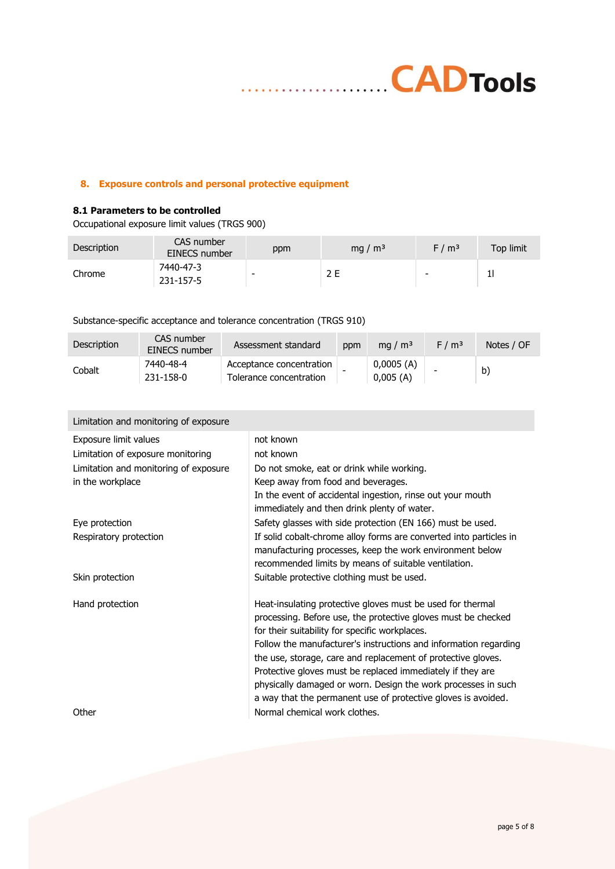

# **8. Exposure controls and personal protective equipment**

 $\cdots$ 

# **8.1 Parameters to be controlled**

Occupational exposure limit values (TRGS 900)

| <b>Description</b> | CAS number<br>EINECS number | ppm | mg / $\rm{m}^3$ | F/m <sup>3</sup> | Top limit |
|--------------------|-----------------------------|-----|-----------------|------------------|-----------|
| Chrome             | 7440-47-3<br>231-157-5      | -   | 2 E             | -                |           |

# Substance-specific acceptance and tolerance concentration (TRGS 910)

| Description | CAS number<br>EINECS number | Assessment standard                                 | ppm | mg / $m3$             | F/m <sup>3</sup> | Notes / OF |
|-------------|-----------------------------|-----------------------------------------------------|-----|-----------------------|------------------|------------|
| Cobalt      | 7440-48-4<br>231-158-0      | Acceptance concentration<br>Tolerance concentration |     | 0,0005(A)<br>0,005(A) | -                | b)         |

| Limitation and monitoring of exposure |                                                                                                                                                                                        |
|---------------------------------------|----------------------------------------------------------------------------------------------------------------------------------------------------------------------------------------|
| Exposure limit values                 | not known                                                                                                                                                                              |
| Limitation of exposure monitoring     | not known                                                                                                                                                                              |
| Limitation and monitoring of exposure | Do not smoke, eat or drink while working.                                                                                                                                              |
| in the workplace                      | Keep away from food and beverages.                                                                                                                                                     |
|                                       | In the event of accidental ingestion, rinse out your mouth<br>immediately and then drink plenty of water.                                                                              |
| Eye protection                        | Safety glasses with side protection (EN 166) must be used.                                                                                                                             |
| Respiratory protection                | If solid cobalt-chrome alloy forms are converted into particles in<br>manufacturing processes, keep the work environment below<br>recommended limits by means of suitable ventilation. |
| Skin protection                       | Suitable protective clothing must be used.                                                                                                                                             |
| Hand protection                       | Heat-insulating protective gloves must be used for thermal<br>processing. Before use, the protective gloves must be checked<br>for their suitability for specific workplaces.          |
|                                       | Follow the manufacturer's instructions and information regarding<br>the use, storage, care and replacement of protective gloves.                                                       |
|                                       | Protective gloves must be replaced immediately if they are<br>physically damaged or worn. Design the work processes in such                                                            |
|                                       | a way that the permanent use of protective gloves is avoided.                                                                                                                          |
| Other                                 | Normal chemical work clothes.                                                                                                                                                          |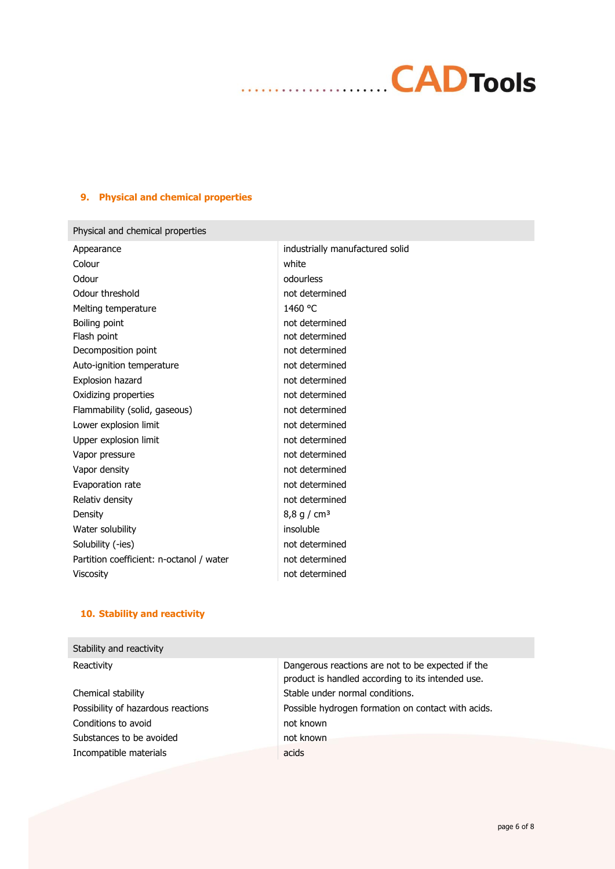# **CADTools**

# **9. Physical and chemical properties**

| Physical and chemical properties         |                                 |
|------------------------------------------|---------------------------------|
| Appearance                               | industrially manufactured solid |
| Colour                                   | white                           |
| Odour                                    | odourless                       |
| Odour threshold                          | not determined                  |
| Melting temperature                      | 1460 °C                         |
| Boiling point                            | not determined                  |
| Flash point                              | not determined                  |
| Decomposition point                      | not determined                  |
| Auto-ignition temperature                | not determined                  |
| <b>Explosion hazard</b>                  | not determined                  |
| Oxidizing properties                     | not determined                  |
| Flammability (solid, gaseous)            | not determined                  |
| Lower explosion limit                    | not determined                  |
| Upper explosion limit                    | not determined                  |
| Vapor pressure                           | not determined                  |
| Vapor density                            | not determined                  |
| Evaporation rate                         | not determined                  |
| Relativ density                          | not determined                  |
| Density                                  | 8,8 g / cm <sup>3</sup>         |
| Water solubility                         | insoluble                       |
| Solubility (-ies)                        | not determined                  |
| Partition coefficient: n-octanol / water | not determined                  |
| Viscosity                                | not determined                  |
|                                          |                                 |

# **10. Stability and reactivity**

| Stability and reactivity           |                                                                                                        |
|------------------------------------|--------------------------------------------------------------------------------------------------------|
| Reactivity                         | Dangerous reactions are not to be expected if the<br>product is handled according to its intended use. |
| Chemical stability                 | Stable under normal conditions.                                                                        |
| Possibility of hazardous reactions | Possible hydrogen formation on contact with acids.                                                     |
| Conditions to avoid                | not known                                                                                              |
| Substances to be avoided           | not known                                                                                              |
| Incompatible materials             | acids                                                                                                  |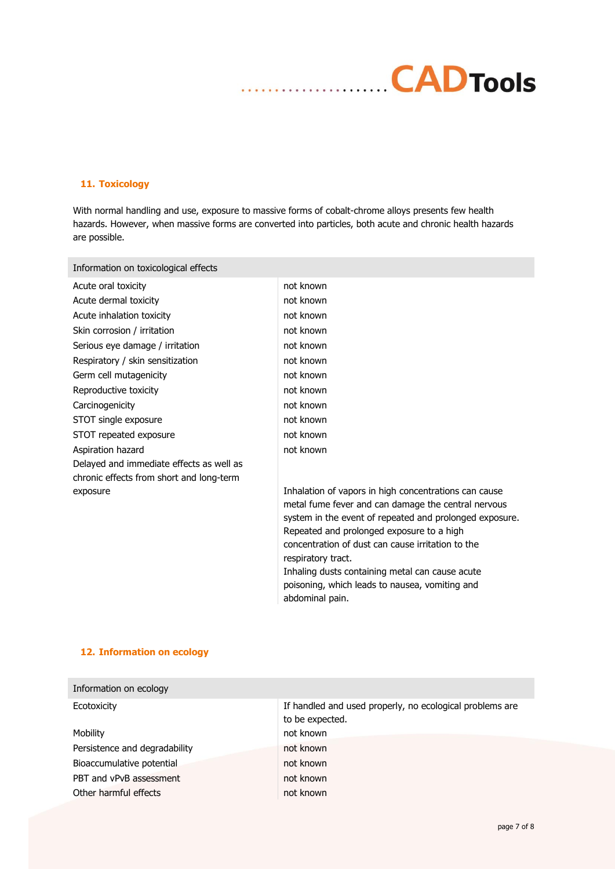# **CADTools** . . . . . .

# **11. Toxicology**

With normal handling and use, exposure to massive forms of cobalt-chrome alloys presents few health hazards. However, when massive forms are converted into particles, both acute and chronic health hazards are possible.

Information on toxicological effects

| Acute oral toxicity                      |
|------------------------------------------|
| Acute dermal toxicity                    |
| Acute inhalation toxicity                |
| Skin corrosion / irritation              |
| Serious eye damage / irritation          |
| Respiratory / skin sensitization         |
| Germ cell mutagenicity                   |
| Reproductive toxicity                    |
| Carcinogenicity                          |
| STOT single exposure                     |
| STOT repeated exposure                   |
| Aspiration hazard                        |
| Delayed and immediate effects as well as |
| chronic effects from short and long-term |
| exposure                                 |
|                                          |

not known not known not known not known not known not known not known not known not known not known not known not known

Inhalation of vapors in high concentrations can cause metal fume fever and can damage the central nervous system in the event of repeated and prolonged exposure. Repeated and prolonged exposure to a high concentration of dust can cause irritation to the respiratory tract. Inhaling dusts containing metal can cause acute poisoning, which leads to nausea, vomiting and abdominal pain.

# **12. Information on ecology**

| Information on ecology        |                                                                             |
|-------------------------------|-----------------------------------------------------------------------------|
| Ecotoxicity                   | If handled and used properly, no ecological problems are<br>to be expected. |
| Mobility                      | not known                                                                   |
| Persistence and degradability | not known                                                                   |
| Bioaccumulative potential     | not known                                                                   |
| PBT and vPvB assessment       | not known                                                                   |
| Other harmful effects         | not known                                                                   |